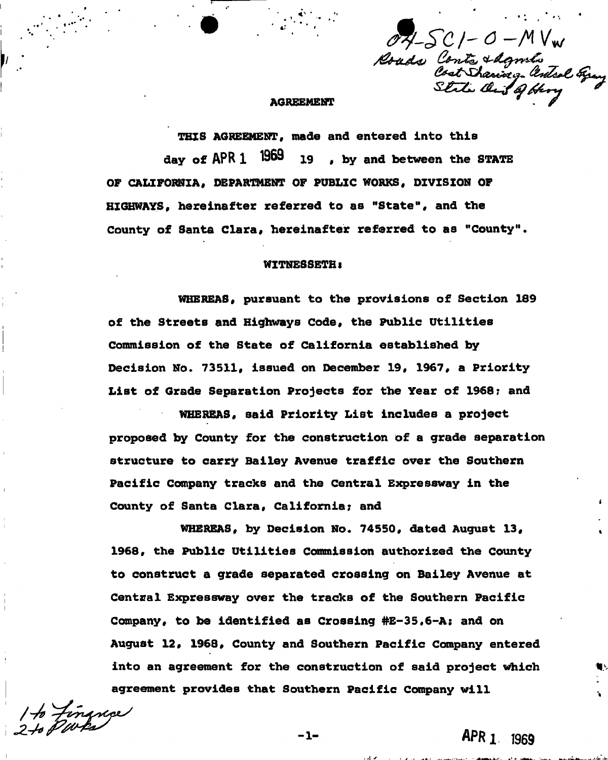$075C$ I-O-MVw Roads Conts & Agnulis<br>Cost Staring . Antol Gray<br>Stile Out of Hory

THIS AGREEMENT, made and entered into this day of **APR** 1 1909 19, by and between the STATE OF CALIFORNIA<sup>f</sup> DEPARTMENT OF PUBLIC WORKS, DIVISION OF HIGHWAYS, hereinafter referred to as "State", and the County of Santa Clara, hereinafter referred to as "County".

## WITNESSETH <

WHEREAS, pursuant to the provisions of Section 189 of the Streets and Highways Code, the Public Utilities Commission of the State of California established by Decision No. 73511, issued on December 19, 1967, a Priority List of Grade Separation Projects for the Year of 1968; and

WHEREAS, said Priority List includes a project proposed by County for the construction of a grade separation structure to carry Bailey Avenue traffic over the Southern Pacific Company tracks and the Central Expressway in the County of Santa Clara, California; and

WHEREAS, by Decision No. 74550, dated August 13, 1968, the Public Utilities Commission authorized the County to construct a grade separated crossing on Bailey Avenue at Central Expressway over the tracks of the Southern Pacific Company, to be identified as Crossing #E-35,6-A; and on August 12, 1968, County and Southern Pacific Company entered into an agreement for the construction of said project which agreement provides that Southern Pacific Company will

**/** */ e/* **" v t^ /** 

*APRl 1969* 

 $-1-$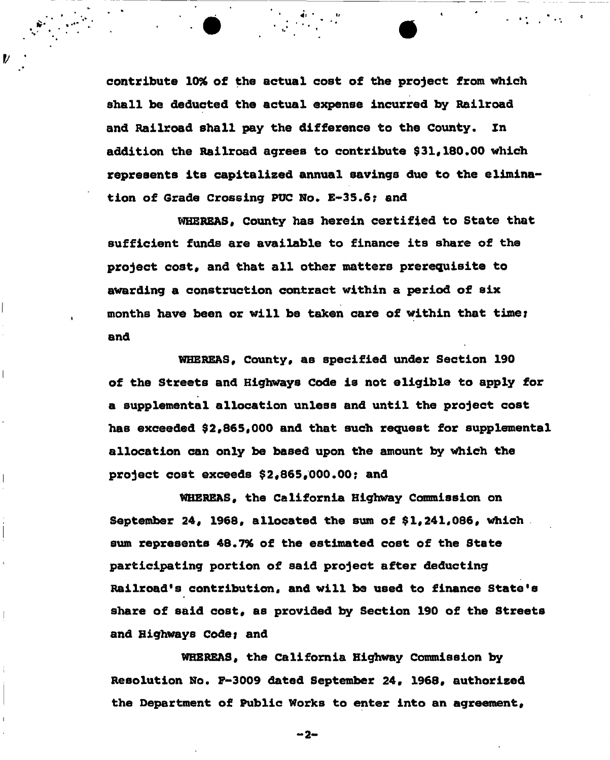contribute *10%* of the actual cost of the project from which shall be deducted the actual expense incurred by Railroad and Railroad shall pay the difference to the County. Zn addition the Railroad agrees to contribute \$31,180.00 which represents its capitalized annual savings due to the elimination of Grade Crossing PUC No. E-35.6? and

 $\label{eq:2.1} \frac{1}{2} \left( \frac{1}{2} \left( \frac{1}{2} \right) \right) \left( \frac{1}{2} \left( \frac{1}{2} \right) \right) \left( \frac{1}{2} \left( \frac{1}{2} \right) \right) \left( \frac{1}{2} \right) \left( \frac{1}{2} \left( \frac{1}{2} \right) \right) \left( \frac{1}{2} \right) \left( \frac{1}{2} \right) \left( \frac{1}{2} \right) \left( \frac{1}{2} \right) \left( \frac{1}{2} \right) \left( \frac{1}{2} \right) \left( \frac{1}{2$ 

V

 $\overline{\phantom{a}}$ 

 $\overline{\phantom{a}}$ 

 $\overline{\phantom{a}}$ 

WHEREAS, County has herein certified to State that sufficient funds are available to finance its share of the project cost, and that all other matters prerequisite to awarding a construction contract within a period of six months have been or will be taken care of within that time; and

WHEREAS, County, as specified under Section 190 of the Streets and Highways Code is not eligible to apply for a supplemental allocation unless and until the project cost has exceeded \$2,865,000 and that such request for supplemental allocation can only be based upon the amount by which the project cost exceeds \$2,865,000.00; and

WHEREAS, the California Highway Commission on September 24, 1968, allocated the sum of \$1,241,086, which sum represents 48.7% of the estimated cost of the State participating portion of said project after deducting Railroad's contribution, and will be used to finance State's share of said cost, as provided by Section 190 of the Streets and Highways Code; and

WHEREAS, the California Highway Commission by Resolution No. F-3009 dated September 24, 1968, authorized the Department of Public Works to enter into an agreement.

-2-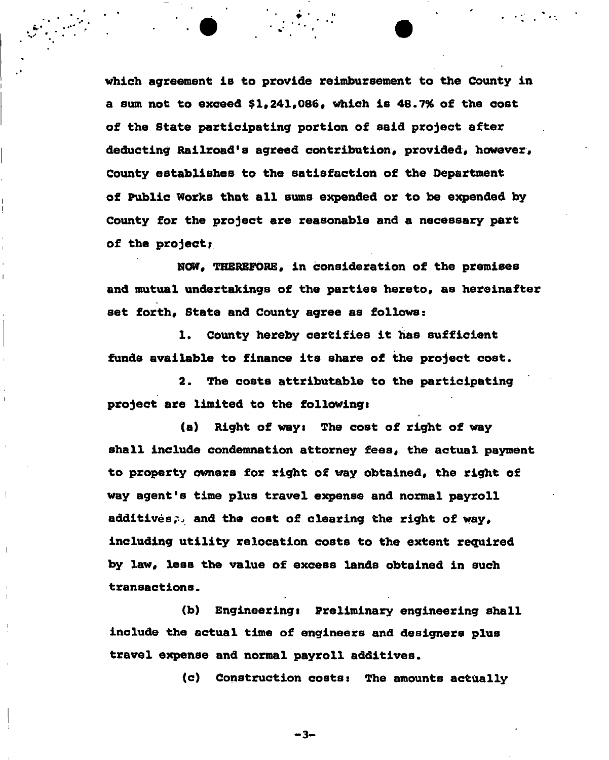which agreement is to provide reimbursement to the County in a sum not to exceed \$1,241,086, which is 48.7% of the cost of the State participating portion of said project after deducting Railroad's agreed contribution, provided, however. County establishes to the satisfaction of the Department of Public Works that all sums expended or to be erxpended by County for the project are reasonable and a necessary part of the project;

NOW, THEREFORE, in consideration of the premises and mutual undertakings of the parties hereto, as hereinafter set forth, State and County agree as follows:

1. County hereby certifies it has sufficient funds available to finance its share of the project cost.

2. The costs attributable to the participating project are limited to the followingi

(a) Right of ways The cost of right of way shall include condemnation attorney fees, the actual payment to property owners for right of way obtained, the right of way agent's time plus travel expense and normal payroll additives; and the cost of clearing the right of way, including utility relocation costs to the extent required by law, less the value of excess lands obtained in such transactions.

(b) Engineering: Preliminary engineering shall include the actual time of engineers and designers plus travel expense and normal payroll additives.

(c) Construction costs: The amounts actually

 $-3-$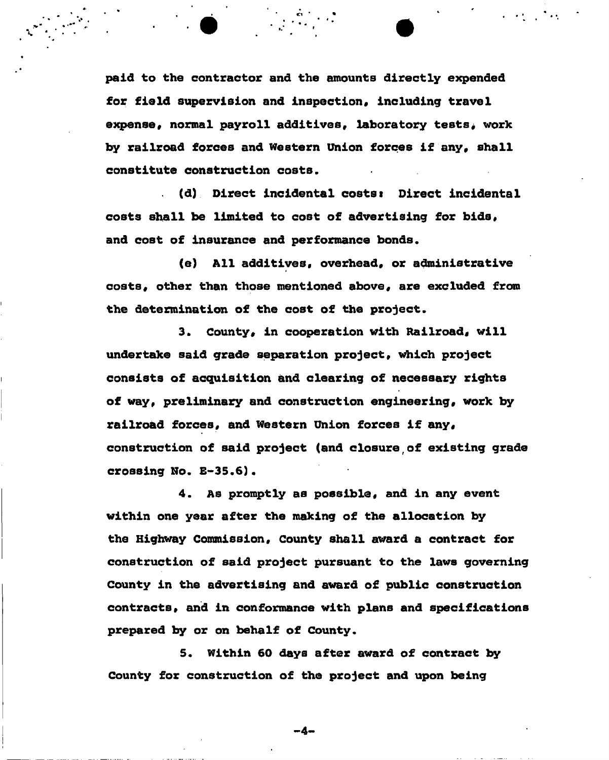paid to the contractor and the amounts directly expended for field supervision and inspection. including travel expense, normal payroll additives, laboratory tests, work by railroad forces and Western union forces if any, shall constitute construction costs.

(d) Direct incidental costs: Direct incidental costs shall be limited to cost of advertising for bids, and cost of insurance and performance bonds.

(e) All additives, overhead, or administrative costs, other than those mentioned above, are excluded from the determination of the cost of the project.

3. County, in cooperation with Railroad, will undertake said grade separation project, which project consists of acquisition and clearing of necessary rights of way, preliminary and construction engineering, work by railroad forces, and Western union forces if any, construction of said project (and closure of existing grade crossing No. £-35.6).

4. As promptly as possible, and in any event within one year after the making of the allocation by the Highway Commission, County shall award a contract for construction of said project pursuant to the laws governing County in the advertising and award of public construction contracts, and in conformance with plans and specifications prepared by or on behalf of County.

5. Within 60 days after award of contract by County for construction of the project and upon being

-4-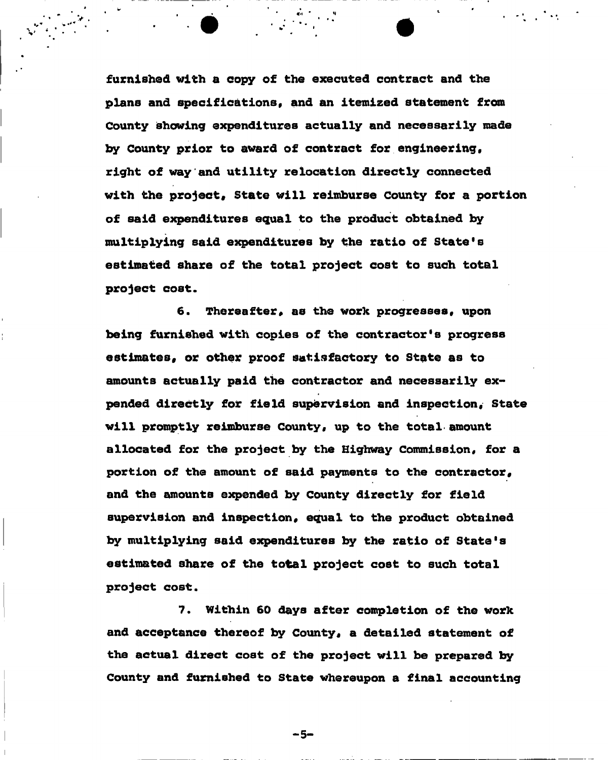furnished with a copy of the executed contract and the plans and specifications, and an itemized statement from County showing expenditures actually and necessarily made by County prior to award of contract for engineering, right of way and utility relocation directly connected with the project, State will reimburse County for a portion of said expenditures equal to the product obtained by multiplying said expenditures by the ratio of State's estimated share of the total project cost to such total project cost.

6. Thereafter, as the work progresses, upon being furnished with copies of the contractor's progress estimates, or other proof satisfactory to State as to amounts actually paid the contractor and necessarily expended directly for field supervision and inspection. State will promptly reimburse County, up to the total amount allocated for the project by the Highway Commission, for a portion of the amount of said payments to the contractor, and the amounts expended by County directly for field supervision and inspection, equal to the product obtained by multiplying said expenditures by the ratio of State's estimated share of the total project cost to such total project cost.

7. Within 60 days after completion of the work and acceptance thereof by County, a detailed statement of the actual direct cost of the project will be prepared by County and furnished to State whereupon a final accounting

- 5-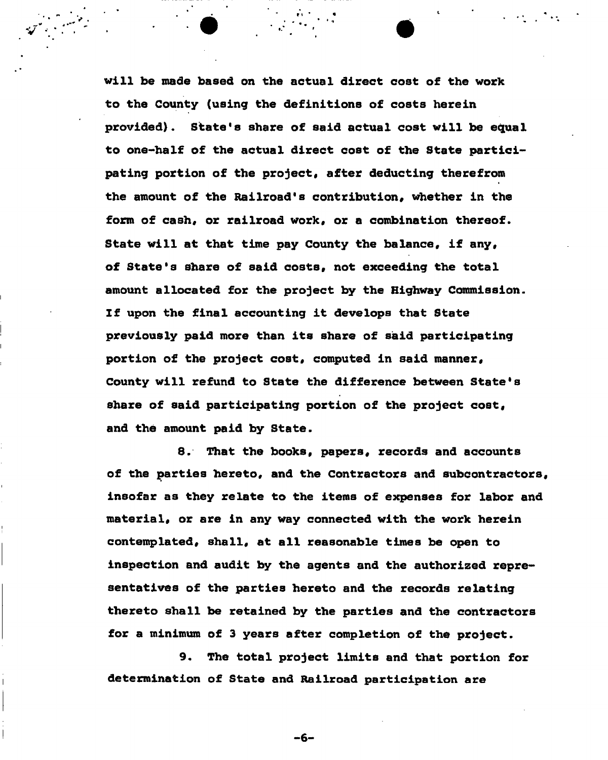will be made based on the actual direct cost of the work to the County (using the definitions of costs herein provided). State's share of said actual cost will be equal to one-half of the actual direct cost of the State participating portion of the project, after deducting therefrom the amount of the Railroad's contribution, whether in the form of cash, or railroad work, or a combination thereof. State will at that time pay County the balance, if any, of State's share of said costs, not exceeding the total amount allocated for the project by the Highway Commission. If upon the final accounting it develops that State previously paid more than its share of said participating portion of the project cost, computed in said manner. County will refund to State the difference between State's share of said participating portion of the project cost, and the amount paid by State.

8. That the books, papers, records and accounts of the parties hereto, and the Contractors and subcontractors, insofar as they relate to the items of expenses for labor and material, or are in any way connected with the work herein contemplated, shall, at all reasonable times be open to inspection and audit by the agents and the authorized representatives of the parties hereto and the records relating thereto shall be retained by the parties and the contractors for a minimum of 3 years after completion of the project.

9. The total project limits and that portion for determination of State and Railroad participation are

-6-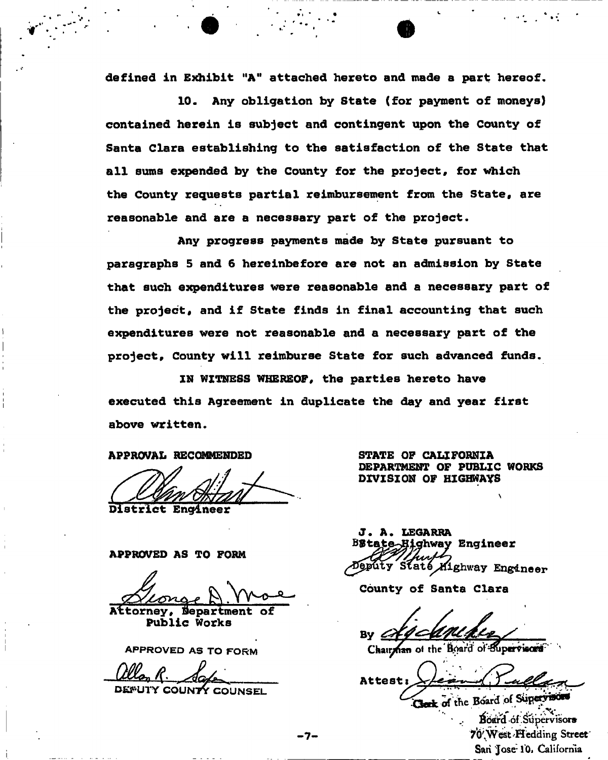defined in Exhibit "A" attached hereto and made a part hereof.

10. Any obligation by State (for payment of moneys) contained herein is subject and contingent upon the County of Santa Clara establishing to the satisfaction of the State that all sums expended by the County for the project, for which the County requests partial reimbursement from the State, are reasonable and are a necessary part of the project.

Any progress payments made by State pursuant to paragraphs 5 and 6 hereinbefore are not an admission by State that such expenditures were reasonable and a necessary part of the project, and if State finds in final accounting that such expenditures were not reasonable and a necessary part of the project. County will reimburse State for such advanced funds.

IN WITNESS WHEREOF, the parties hereto have executed this Agreement in duplicate the day and year first above written.

APPROVAL RECOMMENDED STATE OF CALIFORNIA

District Engineer

APPROVED AS TO FORM

Attorney, Department of Public Works

APPROVED AS TO FORM

DEFUTY COUNTY COUNSEL

DEPARTMENT OF PUBLIC WORKS DIVISION OF HIGHWAYS

J. A. LEGARRA **Highway Engineer** Jepúty Staté Mighway Engineer

County of Santa Clara

By  $\oslash$ 

Chairman of the Board of Supervisors

Attest: Clerk of the Board of Supervisors

Board of Supervisors 70 West . Hedding Street San Jose-10. California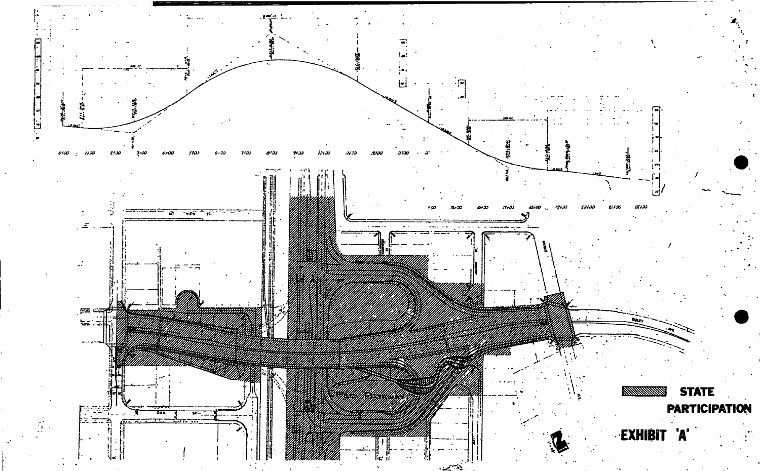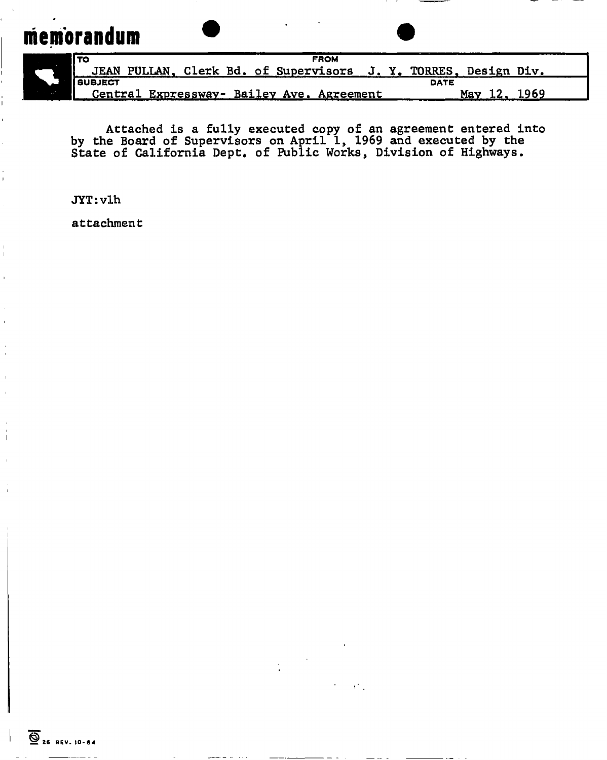## **memorandum**



í

 $\mathbb{L}$ 

| I TO<br><b>FROM</b>                                             |                    |
|-----------------------------------------------------------------|--------------------|
| JEAN PULLAN, Clerk Bd. of Supervisors J. Y. TORRES, Design Div. |                    |
| <b>I</b> SUBJECT                                                | <b>DATE</b>        |
| Central Expressway- Bailey Ave. Agreement                       | 12.<br>1969<br>Mav |

Attached is a fully executed copy of an agreement entered into by the Board of Supervisors on April 1, 1969 and executed by the State of California Dept. of Public Works, Division of Highways.

JYT:vlh

attachment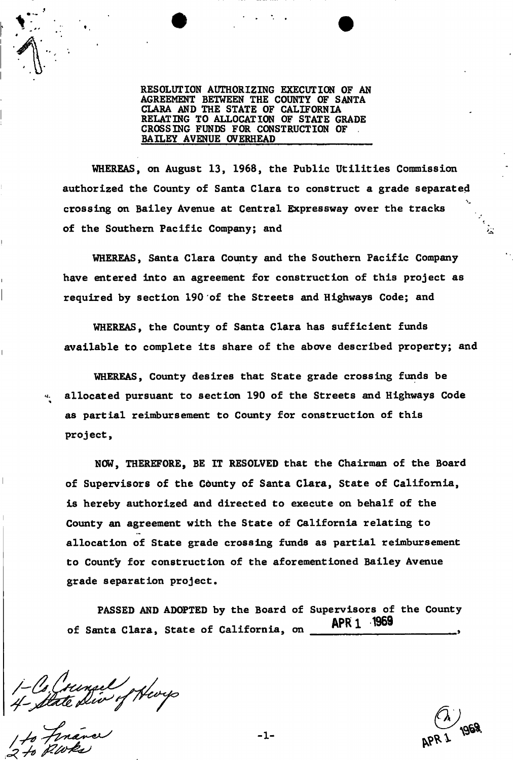RESOLUTION AUTHORIZING EXECUTION OF AN AGREEMENT BETWEEN THE COUNTY OF SANTA CLARA AND THE STATE OF CALIFORNIA RELATING TO ALLOCATION OF STATE GRADE CROSSING FUNDS FOR CONSTRUCTION OF BAILEY AVENUE OVERHEAD

WHEREAS, on August 13, 1968, the Public Utilities Commission authorized the County of Santa Clara to construct a grade separated crossing on Bailey Avenue at Central Expressway over the tracks of the Southern Pacific Company; and

WHEREAS, Santa Clara County and the Southern Pacific Company have entered into an agreement for construction of this project as required by section 190 of the Streets and Highways Code; and

WHEREAS, the County of Santa Clara has sufficient funds available to complete its share of the above described property; and

WHEREAS, County desires that State grade crossing funds be allocated pursuant to section 190 of the Streets and Highways Code as partial reimbursement to County for construction of this project,

NOW, THEREFORE, BE IT RESOLVED that the Chairman of the Board of Supervisors of the County of Santa Clara, State of California, is hereby authorized and directed to execute on behalf of the County an agreement with the State of California relating to allocation of State grade crossing funds as partial reimbursement to County for construction of the aforementioned Bailey Avenue grade separation project.

PASSED AND ADOPTED by the Board of Supervisors of the County **APRl 1969**  of Santa Clara, State of California, on

1-Co. Crunsel of Hever

ч.

-1-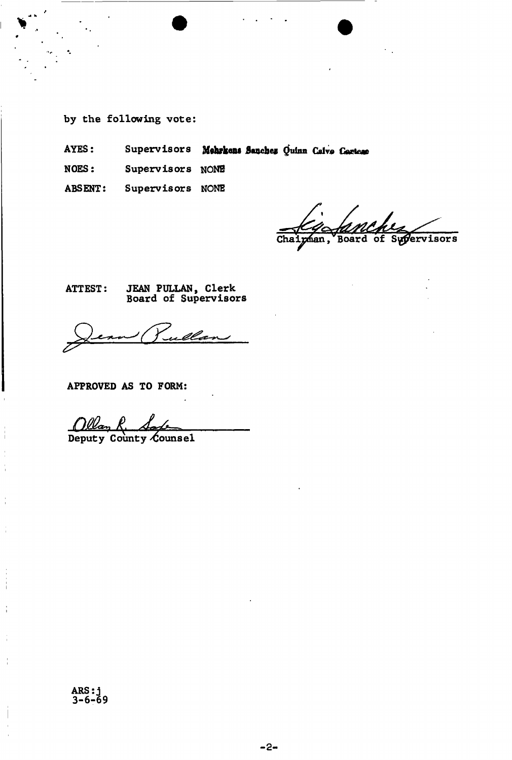- by the following vote:
- Supervisors Mehrkens Sanchez Quinn Calve Cartese AYES:
- **NOES:** Supervisors NONE
- Supervisors NONE **ABSENT:**

Chaigman, Board of Supervisors

JEAN PULLAN, Clerk<br>Board of Supervisors **ATTEST:** 

welcom  $\overline{\phantom{a}}$ 

APPROVED AS TO FORM:

Ollan R. Sale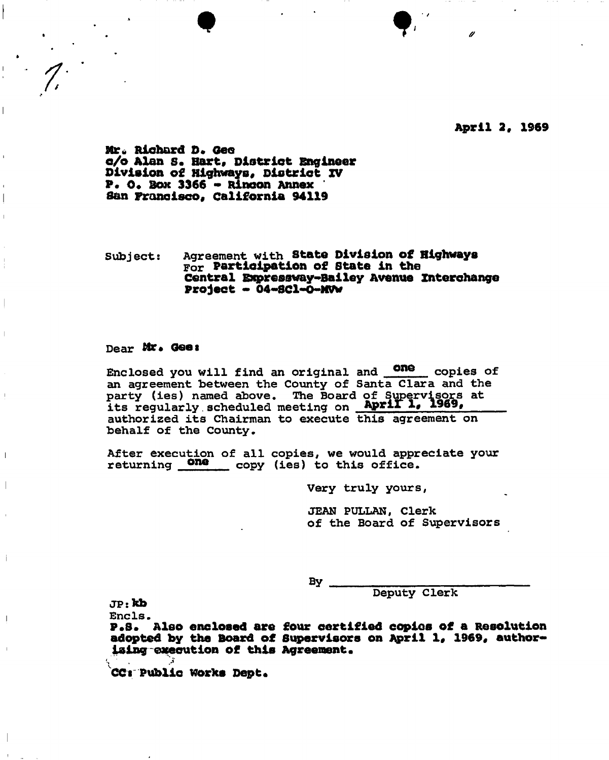**April 2, 1969** 

**Mr\* Richard D . Gee e/o Alan s . Hart, District Engineer Division of Highways, District IV P. 0. Box 3366 - Rincon Annex San Francisco, California 94119** 

Subjects Agreement with **Stat© Division of Highways**  For **Participation of State in the Central Expreaaway-Bailey Avenue Interchange Project - 04-SC1-0-MVW** 

 $\bullet$   $\bullet$   $\bullet$   $\bullet$ 

Dear Mr. Gee:

Enclosed you will find an original and some copies of an agreement between the County of Santa Clara and the party (ies) named above. The Board of its regularly.scheduled meeting on **Apriri , 1969,**  authorized its Chairman to execute this agreement on behalf of the County.

After execution of all copies, we would appreciate your returning **One** copy (ies) to this office.

Very truly yours,

JEAN PULLAN, Clerk of the Board of Supervisors

By

Deputy Clerk

 $JP:kb$ 

 $\mathbf{I}$ 

Encls.

**P#S. Also enclosed are four certified copies of a Resolution**  adopted by the Board of Supervisors on April 1, 1969, author**iaingexecution of this Agreement.** 

**.** *j*  **CC: Public Works Dept.**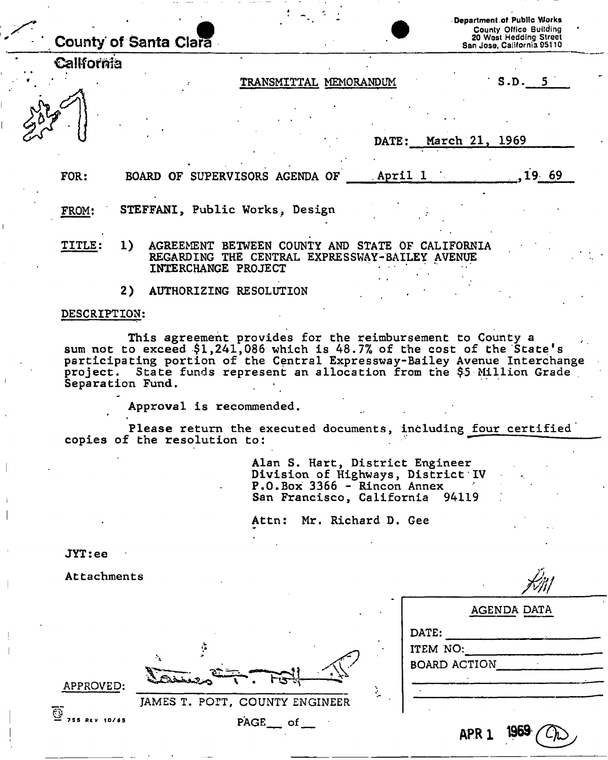| County of Santa Clara |                              |                                                                                                                                                                                                                                                                                              |         |                | Department of Public Works<br><b>County Office Building</b><br>20 West Hedding Street<br>San Jose, California 95110 |  |
|-----------------------|------------------------------|----------------------------------------------------------------------------------------------------------------------------------------------------------------------------------------------------------------------------------------------------------------------------------------------|---------|----------------|---------------------------------------------------------------------------------------------------------------------|--|
| California            |                              |                                                                                                                                                                                                                                                                                              |         |                |                                                                                                                     |  |
|                       |                              | TRANSMITTAL MEMORANDUM                                                                                                                                                                                                                                                                       |         |                | S.D. 5                                                                                                              |  |
|                       |                              |                                                                                                                                                                                                                                                                                              | DATE:   | March 21, 1969 |                                                                                                                     |  |
| FOR:                  |                              | BOARD OF SUPERVISORS AGENDA OF                                                                                                                                                                                                                                                               | April 1 |                | 19.69                                                                                                               |  |
| FROM:                 |                              | STEFFANI, Public Works, Design                                                                                                                                                                                                                                                               |         |                |                                                                                                                     |  |
| TITLE:<br>1)          | INTERCHANGE PROJECT          | AGREEMENT BETWEEN COUNTY AND STATE OF CALIFORNIA<br>REGARDING THE CENTRAL EXPRESSWAY-BAILEY AVENUE                                                                                                                                                                                           |         |                |                                                                                                                     |  |
| 2)                    |                              | AUTHORIZING RESOLUTION                                                                                                                                                                                                                                                                       |         |                |                                                                                                                     |  |
| DESCRIPTION:          |                              |                                                                                                                                                                                                                                                                                              |         |                |                                                                                                                     |  |
| Separation Fund.      |                              | This agreement provides for the reimbursement to County a<br>sum not to exceed \$1,241,086 which is 48.7% of the cost of the State's<br>participating portion of the Central Expressway-Bailey Avenue Interchange<br>project. State funds represent an allocation from the \$5 Million Grade |         |                |                                                                                                                     |  |
|                       | Approval is recommended.     |                                                                                                                                                                                                                                                                                              |         |                |                                                                                                                     |  |
|                       | copies of the resolution to: | Please return the executed documents, including four certified                                                                                                                                                                                                                               |         |                |                                                                                                                     |  |
|                       |                              |                                                                                                                                                                                                                                                                                              |         |                |                                                                                                                     |  |

Alan S. Hart, District Engineer Division of Highways, District IV P.O.Box 3366 - Rincon Annex San Francisco, California 94119

Attn: Mr. Richard D. Gee

JAMES T. POTT, COUNTY ENGINEER

ţ

 $\mathcal{L}_\mathbf{A}$ 

 $\vec{PAGE}$  of \_\_

جة ا

JYT:ee

Attachments

|    | AGENDA DATA                              |
|----|------------------------------------------|
|    | DATE:<br>ITEM NO:<br><b>BOARD ACTION</b> |
| ř. |                                          |
|    | 1969<br>APR <sub>1</sub>                 |

APPROVED:

— 755 RCV 10/65

**©**